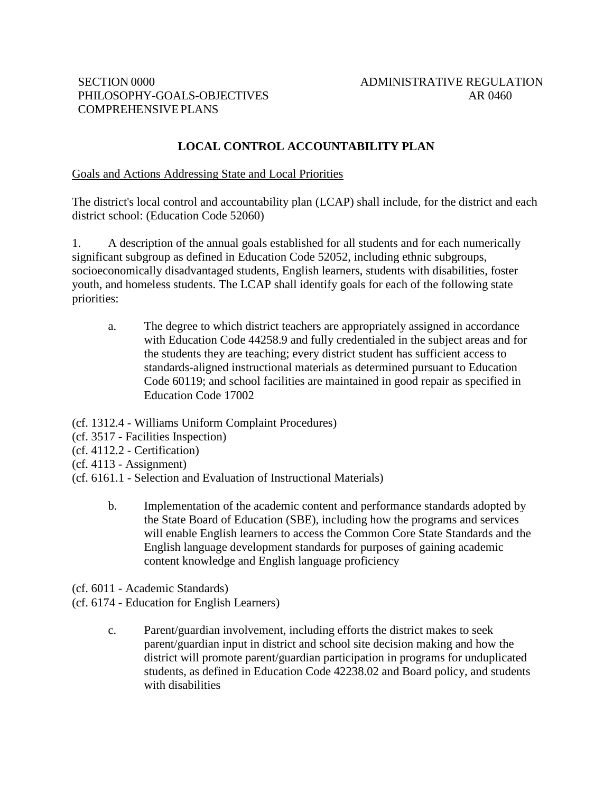# **LOCAL CONTROL ACCOUNTABILITY PLAN**

#### Goals and Actions Addressing State and Local Priorities

The district's local control and accountability plan (LCAP) shall include, for the district and each district school: (Education Code 52060)

1. A description of the annual goals established for all students and for each numerically significant subgroup as defined in Education Code 52052, including ethnic subgroups, socioeconomically disadvantaged students, English learners, students with disabilities, foster youth, and homeless students. The LCAP shall identify goals for each of the following state priorities:

a. The degree to which district teachers are appropriately assigned in accordance with Education Code 44258.9 and fully credentialed in the subject areas and for the students they are teaching; every district student has sufficient access to standards-aligned instructional materials as determined pursuant to Education Code 60119; and school facilities are maintained in good repair as specified in Education Code 17002

(cf. 1312.4 - Williams Uniform Complaint Procedures)

- (cf. 3517 Facilities Inspection)
- (cf. 4112.2 Certification)
- $(cf. 4113 Assignment)$
- (cf. 6161.1 Selection and Evaluation of Instructional Materials)
	- b. Implementation of the academic content and performance standards adopted by the State Board of Education (SBE), including how the programs and services will enable English learners to access the Common Core State Standards and the English language development standards for purposes of gaining academic content knowledge and English language proficiency
- (cf. 6011 Academic Standards)
- (cf. 6174 Education for English Learners)
	- c. Parent/guardian involvement, including efforts the district makes to seek parent/guardian input in district and school site decision making and how the district will promote parent/guardian participation in programs for unduplicated students, as defined in Education Code 42238.02 and Board policy, and students with disabilities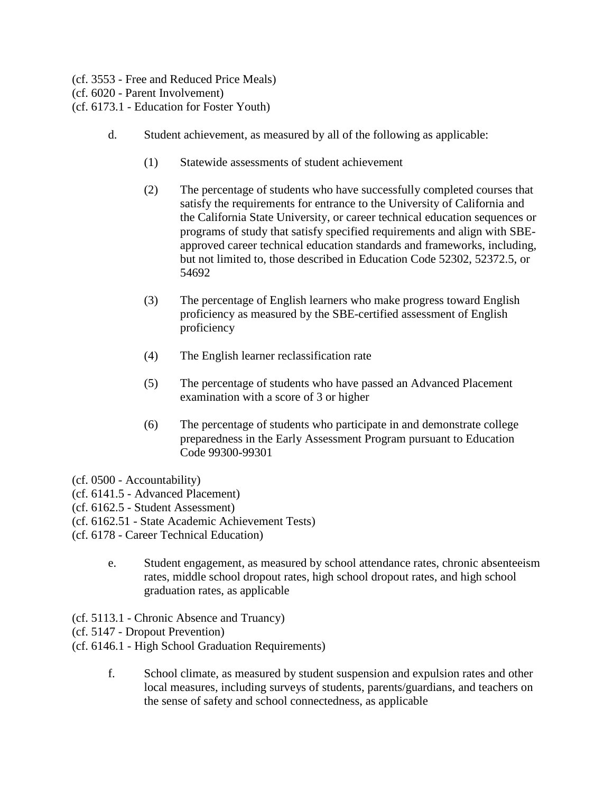- (cf. 3553 Free and Reduced Price Meals)
- (cf. 6020 Parent Involvement)
- (cf. 6173.1 Education for Foster Youth)
	- d. Student achievement, as measured by all of the following as applicable:
		- (1) Statewide assessments of student achievement
		- (2) The percentage of students who have successfully completed courses that satisfy the requirements for entrance to the University of California and the California State University, or career technical education sequences or programs of study that satisfy specified requirements and align with SBEapproved career technical education standards and frameworks, including, but not limited to, those described in Education Code 52302, 52372.5, or 54692
		- (3) The percentage of English learners who make progress toward English proficiency as measured by the SBE-certified assessment of English proficiency
		- (4) The English learner reclassification rate
		- (5) The percentage of students who have passed an Advanced Placement examination with a score of 3 or higher
		- (6) The percentage of students who participate in and demonstrate college preparedness in the Early Assessment Program pursuant to Education Code 99300-99301
- (cf. 0500 Accountability)
- (cf. 6141.5 Advanced Placement)
- (cf. 6162.5 Student Assessment)
- (cf. 6162.51 State Academic Achievement Tests)
- (cf. 6178 Career Technical Education)
	- e. Student engagement, as measured by school attendance rates, chronic absenteeism rates, middle school dropout rates, high school dropout rates, and high school graduation rates, as applicable
- (cf. 5113.1 Chronic Absence and Truancy)
- (cf. 5147 Dropout Prevention)
- (cf. 6146.1 High School Graduation Requirements)
	- f. School climate, as measured by student suspension and expulsion rates and other local measures, including surveys of students, parents/guardians, and teachers on the sense of safety and school connectedness, as applicable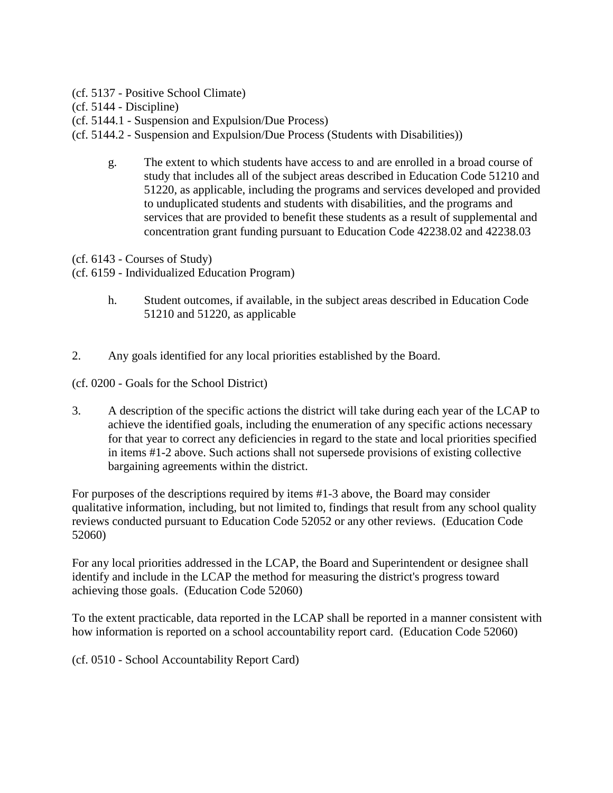- (cf. 5137 Positive School Climate)
- (cf. 5144 Discipline)
- (cf. 5144.1 Suspension and Expulsion/Due Process)
- (cf. 5144.2 Suspension and Expulsion/Due Process (Students with Disabilities))
	- g. The extent to which students have access to and are enrolled in a broad course of study that includes all of the subject areas described in Education Code 51210 and 51220, as applicable, including the programs and services developed and provided to unduplicated students and students with disabilities, and the programs and services that are provided to benefit these students as a result of supplemental and concentration grant funding pursuant to Education Code 42238.02 and 42238.03
- (cf. 6143 Courses of Study)
- (cf. 6159 Individualized Education Program)
	- h. Student outcomes, if available, in the subject areas described in Education Code 51210 and 51220, as applicable
- 2. Any goals identified for any local priorities established by the Board.
- (cf. 0200 Goals for the School District)
- 3. A description of the specific actions the district will take during each year of the LCAP to achieve the identified goals, including the enumeration of any specific actions necessary for that year to correct any deficiencies in regard to the state and local priorities specified in items #1-2 above. Such actions shall not supersede provisions of existing collective bargaining agreements within the district.

For purposes of the descriptions required by items #1-3 above, the Board may consider qualitative information, including, but not limited to, findings that result from any school quality reviews conducted pursuant to Education Code 52052 or any other reviews. (Education Code 52060)

For any local priorities addressed in the LCAP, the Board and Superintendent or designee shall identify and include in the LCAP the method for measuring the district's progress toward achieving those goals. (Education Code 52060)

To the extent practicable, data reported in the LCAP shall be reported in a manner consistent with how information is reported on a school accountability report card. (Education Code 52060)

(cf. 0510 - School Accountability Report Card)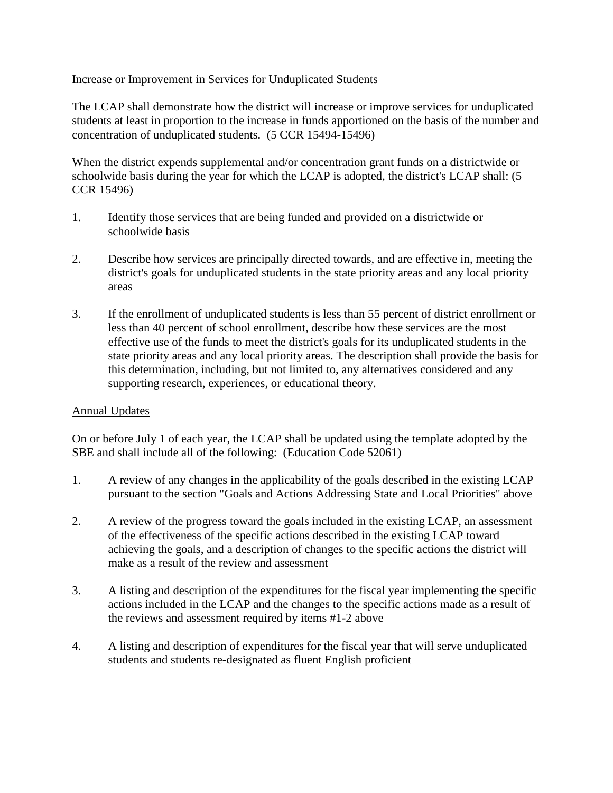### Increase or Improvement in Services for Unduplicated Students

The LCAP shall demonstrate how the district will increase or improve services for unduplicated students at least in proportion to the increase in funds apportioned on the basis of the number and concentration of unduplicated students. (5 CCR 15494-15496)

When the district expends supplemental and/or concentration grant funds on a districtwide or schoolwide basis during the year for which the LCAP is adopted, the district's LCAP shall: (5 CCR 15496)

- 1. Identify those services that are being funded and provided on a districtwide or schoolwide basis
- 2. Describe how services are principally directed towards, and are effective in, meeting the district's goals for unduplicated students in the state priority areas and any local priority areas
- 3. If the enrollment of unduplicated students is less than 55 percent of district enrollment or less than 40 percent of school enrollment, describe how these services are the most effective use of the funds to meet the district's goals for its unduplicated students in the state priority areas and any local priority areas. The description shall provide the basis for this determination, including, but not limited to, any alternatives considered and any supporting research, experiences, or educational theory.

# Annual Updates

On or before July 1 of each year, the LCAP shall be updated using the template adopted by the SBE and shall include all of the following: (Education Code 52061)

- 1. A review of any changes in the applicability of the goals described in the existing LCAP pursuant to the section "Goals and Actions Addressing State and Local Priorities" above
- 2. A review of the progress toward the goals included in the existing LCAP, an assessment of the effectiveness of the specific actions described in the existing LCAP toward achieving the goals, and a description of changes to the specific actions the district will make as a result of the review and assessment
- 3. A listing and description of the expenditures for the fiscal year implementing the specific actions included in the LCAP and the changes to the specific actions made as a result of the reviews and assessment required by items #1-2 above
- 4. A listing and description of expenditures for the fiscal year that will serve unduplicated students and students re-designated as fluent English proficient